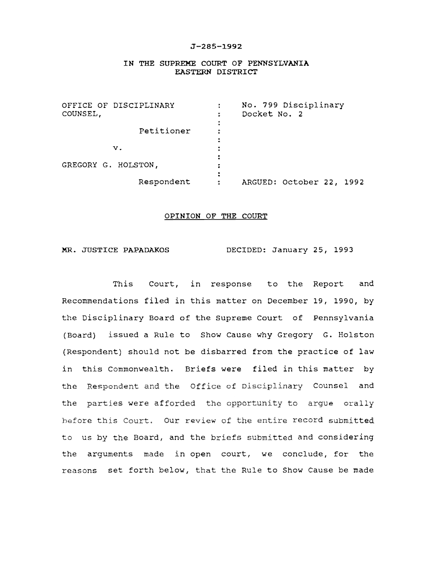## J-285-1992

## IN THE SUPREME COURT OF PENNSYLVANIA EASTERN DISTRICT

| OFFICE OF DISCIPLINARY<br>COUNSEL, | No. 799 Disciplinary<br>Docket No. 2 |
|------------------------------------|--------------------------------------|
| Petitioner                         |                                      |
| $\mathbf{v}$ .                     |                                      |
| GREGORY G. HOLSTON,                |                                      |
| Respondent                         | ARGUED: October 22, 1992<br>٠        |

## OPINION OF THE COURT

MR. JUSTICE PAPADAKOS DECIDED: January 25, 1993

This Court, in response to the Report and Recommendations filed in this matter on December 19, 1990, by the Disciplinary Board of the Supreme Court of Pennsylvania (Board) issued a Rule to Show Cause why Gregory G. Holston (Respondent) should not be disbarred from the practice of law in this Commonwealth. Briefs were filed in this matter by the Respondent and the Office of Disciplinary Counsel and the parties were afforded the opportunity to argue orally fore this Court. Our review of the entire record to us by the Board, and the briefs submitted and considering the arguments made in open court, we conclude, for the reasons set forth below, that the Rule to Show Cause be made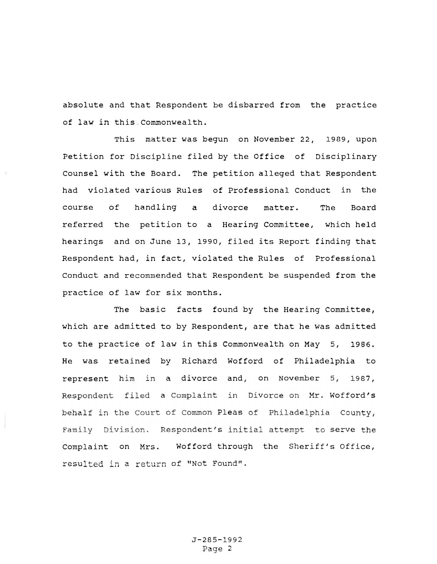absolute and that Respondent be disbarred from the practice of law in this.Commonwealth.

This matter was begun on November 22, 1989, upon Petition for Discipline filed by the Office of Disciplinary Counsel with the Board. The petition alleged that Respondent had violated various Rules of Professional Conduct in the course of handling **a** divorce matter. The Board referred the petition to a Hearing Committee, which held hearings and on June 13, 1990, filed its Report finding that Respondent had, in fact, violated the Rules of Professional Conduct and recommended that Respondent be suspended from the practice of law for six months.

The basic facts found by the Hearing Committee, which are admitted to by Respondent, are that he was admitted to the practice of law in this Commonwealth on May 5, 1986. He was retained by Richard Wofford of Philadelphia to represent him in a divorce and, on November 5, 1987, a Complaint in Divorce on Mr. Wofford's Complaint on Mrs. resulted in a return of "Not Found". behalf in the Court of Common Pleas of Philadelphia County, s initial attempt to serve Wofford through the Sheriff's Office,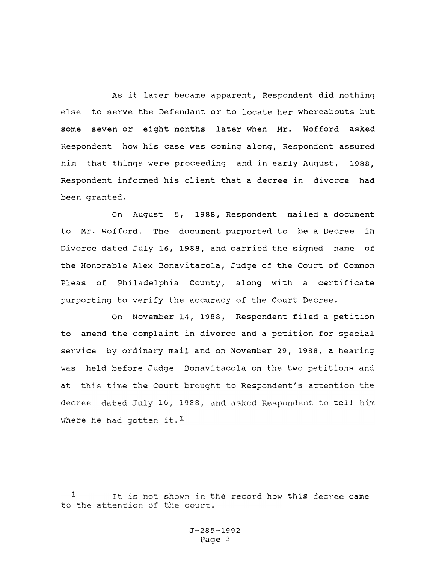As it later became apparent, Respondent did nothing else to serve the Defendant or to locate her whereabouts but some seven or eight months later when Mr. Wofford asked Respondent how his case was coming along, Respondent assured him that things were proceeding and in early August, 1988, Respondent informed his client that a decree in divorce had been granted.

On August 5, 1988, Respondent mailed a document to Mr. Wofford. The document purported to be a Decree in Divorce dated July 16, 1988, and carried the signed name of the Honorable Alex Bonavitacola, Judge of the Court of Common Pleas of Philadelphia County, along with a certificate purporting to verify the accuracy of the Court Decree.

on November 14, 1988, Respondent filed a petition to amend the complaint in divorce and a petition for special service by ordinary mail and on November 29, 1988, a hearing was held before Judge Bonavitacola on the two petitions and at this time the Court brought to Respondent's attention the decree dated July 16, 1988, and asked Respondent to tell where he had gotten it.<sup>1</sup>

<sup>1</sup>  the record how this decree came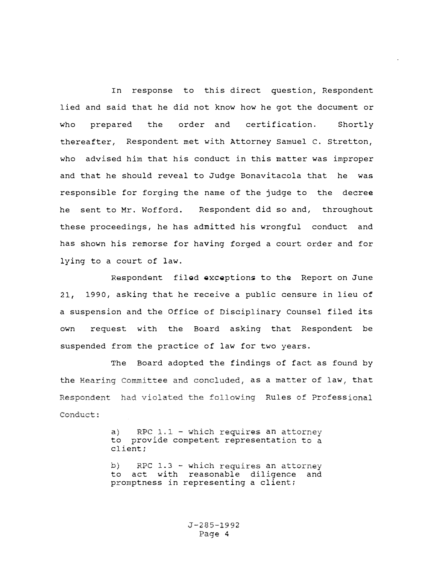In response to this direct question, Respondent lied and said that he did not know how he got the document or who prepared the order and certification. Shortly thereafter, Respondent met with Attorney Samuel c. Stretton, who advised him that his conduct in this matter was improper and that he should reveal to Judge Bonavitacola that he was responsible for forging the name of the judge to the decree he sent to Mr. Wofford. Respondent did so and, throughout these proceedings, he has admitted his wrongful conduct and has shown his remorse for having forged a court order and for lying to a court of law.

Respondent filed exceptions to the Report on June 21, 1990, asking that he receive a public censure in lieu of a suspension and the Office of Disciplinary Counsel filed its own request with the Board asking that Respondent be suspended from the practice of law for two years.

The Board adopted the findings of fact as found by the Hearing Committee and concluded, as a matter of law, that Respondent had violated the following Rules of Professional Conduct:

> a) RPC  $1.1$  - which requires an attorney to provide competent representation to a client;

> b) RPC 1.3 - which requires an attorney<br>to act with reasonable diligence and act with reasonable diligence and promptness in representing a client;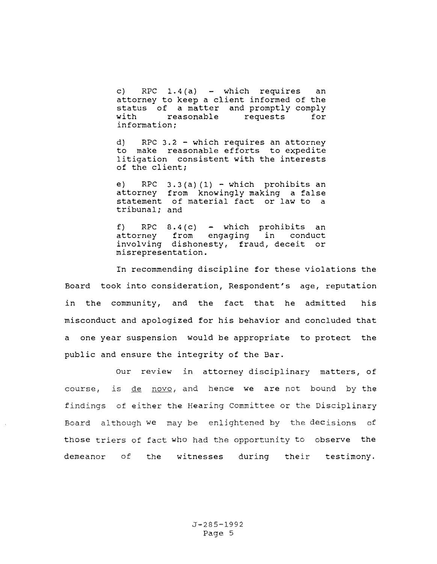c) RPC  $1.4(a)$  - which requires an attorney to keep a client informed of the status of a matter and promptly comply<br>with reasonable requests for reasonable information:

d) RPC 3.2 - which requires an attorney to make reasonable efforts to expedite litigation consistent with the interests of the client;

e) RPC  $3.3(a)(1)$  - which prohibits an attorney from knowingly making a false statement of material fact or law to a tribunal; and

f) RPC  $8.4(c)$  - which prohibits an attorney from engaging in conduct attorney from engaging involving dishonesty, fraud, deceit or misrepresentation.

In recommending discipline for these violations the Board took into consideration, Respondent's age, reputation in the community, and the fact that he admitted his misconduct and apologized for his behavior and concluded that a one year suspension would be appropriate to protect the public and ensure the integrity of the Bar.

Our review attorney disciplinary matters, of findings of either the Hearing Committee or the Disciplinary we may be enlightened by the decisions of those triers of fact who had the opportunity to observe the demeanor of the witnesses during their testimony. course, is de novo, and hence we are not bound by the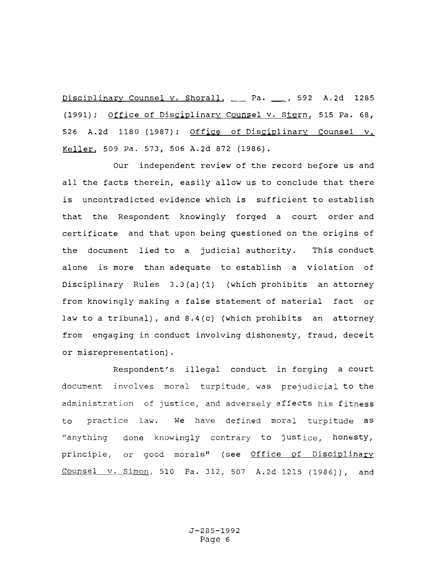Disciplinary Counsel y, Shorall, Pa. 4. 592 A.2d 1285 (1991); Office of Disciplinary counsel v. Stern, 515 Pa. 68, 526 A.2d 1180 (1987); Office of Disciplinary counsel v. Keller, 509 Pa. 573, 506 A.2d 872 (1986).

Our independent review of the record before us and all the facts therein, easily allow us to conclude that there is uncontradicted evidence which is sufficient to establish that the Respondent knowingly forged a court order and certificate and that upon being questioned on the origins of the document lied to a judicial authority. This conduct alone is more than adequate to establish a violation of Disciplinary Rules 3.3(a) {l) (which prohibits an attorney from knowingly making a false statement of material fact or law to a tribunal), and 8.4(c) (which prohibits an attorney from engaging in conduct involving dishonesty, fraud, deceit or misrepresentation).

Respondent's illegal conduct in forging a court document involves moral turpitude, was prejudicial to the ustice, and adversely aff<mark>ect</mark>s his f to practice law. We have defined moral turpitude <mark>as</mark> done knowingly contrary to justice, honesty, or good morals" (see <u>Office of Disciplinary</u> Counsel v. Simon, 510 Pa. 312, 507 A.2d 1215 (1986)), and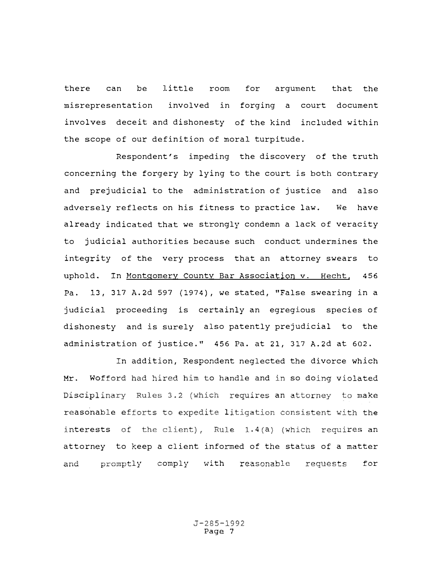there can be little room misrepresentation involves deceit and dishonesty of the kind included within for argument that the involved in forging a court document the scope of our definition of moral turpitude.

Respondent's impeding the discovery of the truth concerning the forgery by lying to the court is both contrary and prejudicial to the administration of justice and also adversely reflects on his fitness to practice law. We have already indicated that we strongly condemn a lack of veracity to judicial authorities because such conduct undermines the integrity of the very process that an attorney swears to uphold. In Montgomery County Bar Association v. Hecht, 456 Pa. 13, 317 A.2d 597 (1974), we stated, "False swearing in a judicial proceeding is certainly an egregious species of dishonesty and is surely also patently prejudicial to the administration of justice." 456 Pa. at 21, 317 A.2d at 602.

In addition, Respondent neglected the divorce which Mr. Wofford had hired him to handle and in so doing violated sciplinary Rules 3.2 (which requires an attorney to make reasonable efforts to expedite l  $n$  interests of the client), Rule 1.4(a) (which requires an attorney to keep a client informed of the status of a matter and promptly comply with reasonable requests for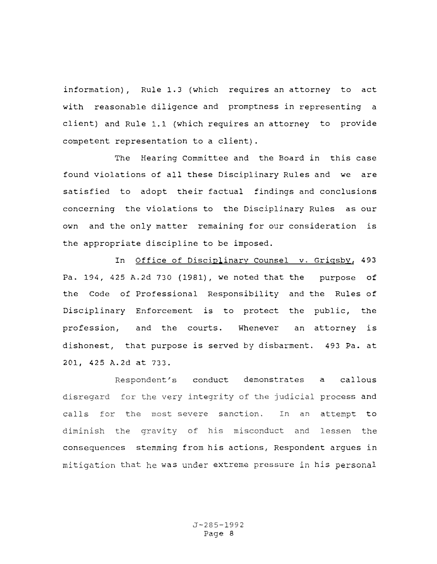information), Rule 1.3 (which requires an attorney to act with reasonable diligence and promptness in representing a client) and Rule 1.1 (which requires an attorney to provide competent representation to a client).

The Hearing Committee and the Board in this case found violations of all these Disciplinary Rules and we are satisfied to adopt their factual findings and conclusions concerning the violations to the Disciplinary Rules as our own and the only matter remaining for our consideration is the appropriate discipline to be imposed.

In Office of Disciplinary Counsel v. Grigsby, 493 Pa. 194, 425 A.2d 730 (1981), we noted that the purpose of the Code of Professional Responsibility and the Rules of Disciplinary Enforcement is to protect the public, the profession, and the courts. Whenever an attorney is dishonest, that purpose is served by disbarment. 493 Pa. at 201, 425 A.2d at 733.

Respondent's conduct demonstrates a callous disregard for the very integrity of the judicial process and calls for the most severe sanction. In an attempt to diminish the gravity of his misconduct and lessen the consequences stemming from his actions, Respondent argues in mitigation that he was under extreme pressure in his personal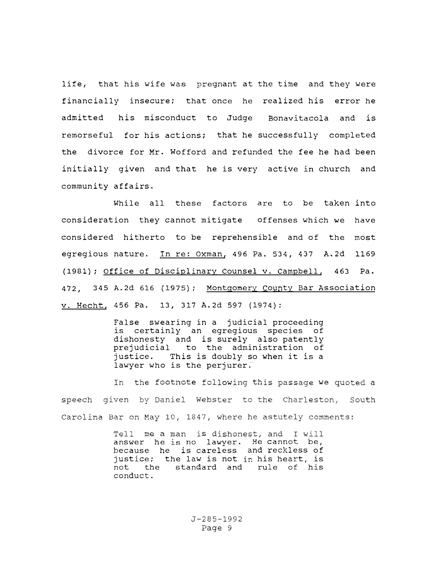life, that his wife was pregnant at the time and they were financially insecure; that once he realized his error he admitted his misconduct to Judge Bonavitacola and is remorseful for his actions; that he successfully completed the divorce for Mr. Wofford and refunded the fee he had been initially given and that he is very active in church and community affairs.

While all these factors are to be taken into consideration they cannot mitigate offenses which we have considered hitherto to be reprehensible and of the most egregious nature. In re: Oxman, 496 Pa. 534, 437 A.2d 1169 (1981); Office of Disciplinary Counsel v. Campbell, 463 Pa. 472, 345 A.2d 616 (1975); Montgomery County Bar Association v. Hecht, 456 Pa. 13, 317 A.2d 597 (1974):

> False swearing in a judicial proceeding<br>is certainly an egregious species of is certainly an egregious species dishonesty and is surely also patently prejudicial to the administration of<br>justice. This is doubly so when it is a This is doubly so when it is a lawyer who is the perjurer.

footnote following this passage we quoted a speech given by Daniel Webster to the Charleston, South Carolina Bar on May 10, 1847, where he astutely comments:

> Tell me a man is dishonest, and I will answer he is no lawyer. He cannot be, because he is careless and reckless of justice; the law is not his heart, is not the standard and rule of his conduct.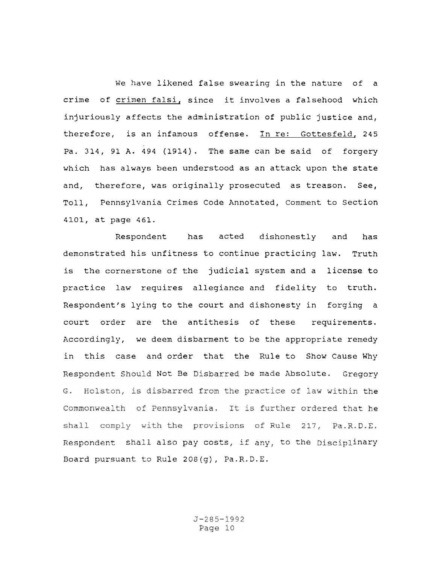We have likened false swearing in the nature of a crime of crimen falsi, since it involves a falsehood which injuriously affects the administration of public justice and, therefore, is an infamous offense. In re: Gottesfeld, 245 Pa. 314, 91 A. 494 (1914). The same can be said of forgery which has always been understood as an attack upon the state and, therefore, was originally prosecuted as treason. See, Toll, Pennsylvania Crimes Code Annotated, Comment to Section 4101, at page 461.

Respondent has acted dishonestly and has demonstrated his unfitness to continue practicing law. Truth is the cornerstone of the judicial system and a license to practice law requires allegiance and fidelity to truth. Respondent's lying to the court and dishonesty in forging a court order are the antithesis of these requirements. Accordingly, we deem disbarment to be the appropriate remedy in this case and order that the Rule to Show Cause Why Respondent Should Not Be Disbarred be made Absolute. Gregory G. Holston, is disbarred from the practice of law within the Commonwealth of Pennsylvania. It is further ordered that he shall comply with the provisions of Rule 217, Pa.R.D.E. Respondent shall also pay costs, if any, to the Disciplinary Board pursuant to Rule 208(g), Pa.R.D.E.